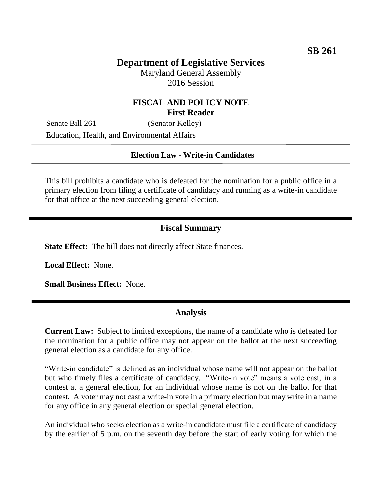# **Department of Legislative Services**

Maryland General Assembly 2016 Session

### **FISCAL AND POLICY NOTE First Reader**

Senate Bill 261 (Senator Kelley) Education, Health, and Environmental Affairs

#### **Election Law - Write-in Candidates**

This bill prohibits a candidate who is defeated for the nomination for a public office in a primary election from filing a certificate of candidacy and running as a write-in candidate for that office at the next succeeding general election.

#### **Fiscal Summary**

**State Effect:** The bill does not directly affect State finances.

**Local Effect:** None.

**Small Business Effect:** None.

#### **Analysis**

**Current Law:** Subject to limited exceptions, the name of a candidate who is defeated for the nomination for a public office may not appear on the ballot at the next succeeding general election as a candidate for any office.

"Write-in candidate" is defined as an individual whose name will not appear on the ballot but who timely files a certificate of candidacy. "Write-in vote" means a vote cast, in a contest at a general election, for an individual whose name is not on the ballot for that contest. A voter may not cast a write-in vote in a primary election but may write in a name for any office in any general election or special general election.

An individual who seeks election as a write-in candidate must file a certificate of candidacy by the earlier of 5 p.m. on the seventh day before the start of early voting for which the